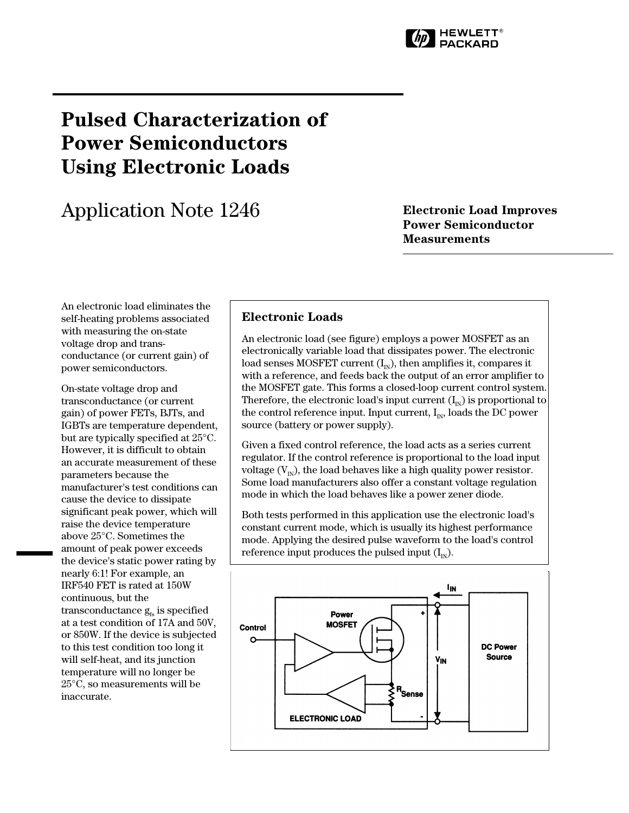

# **Pulsed Characterization of Power Semiconductors Using Electronic Loads**

# Application Note 1246 **Electronic Load Improves**

## **Power Semiconductor Measurements**

An electronic load eliminates the self-heating problems associated with measuring the on-state voltage drop and transconductance (or current gain) of power semiconductors.

On-state voltage drop and transconductance (or current gain) of power FETs, BJTs, and IGBTs are temperature dependent, but are typically specified at 25°C. However, it is difficult to obtain an accurate measurement of these parameters because the manufacturer's test conditions can cause the device to dissipate significant peak power, which will raise the device temperature above 25°C. Sometimes the amount of peak power exceeds the device's static power rating by nearly 6:1! For example, an IRF540 FET is rated at 150W continuous, but the transconductance  $g_{fs}$  is specified at a test condition of 17A and 50V, or 850W. If the device is subjected to this test condition too long it will self-heat, and its junction temperature will no longer be 25°C, so measurements will be inaccurate.

## **Electronic Loads**

An electronic load (see figure) employs a power MOSFET as an electronically variable load that dissipates power. The electronic load senses MOSFET current  $(I_{N})$ , then amplifies it, compares it with a reference, and feeds back the output of an error amplifier to the MOSFET gate. This forms a closed-loop current control system. Therefore, the electronic load's input current  $(I_{N})$  is proportional to the control reference input. Input current,  $I_{N}$ , loads the DC power source (battery or power supply).

Given a fixed control reference, the load acts as a series current regulator. If the control reference is proportional to the load input voltage  $(V_{N})$ , the load behaves like a high quality power resistor. Some load manufacturers also offer a constant voltage regulation mode in which the load behaves like a power zener diode.

Both tests performed in this application use the electronic load's constant current mode, which is usually its highest performance mode. Applying the desired pulse waveform to the load's control reference input produces the pulsed input  $(I_{N})$ .

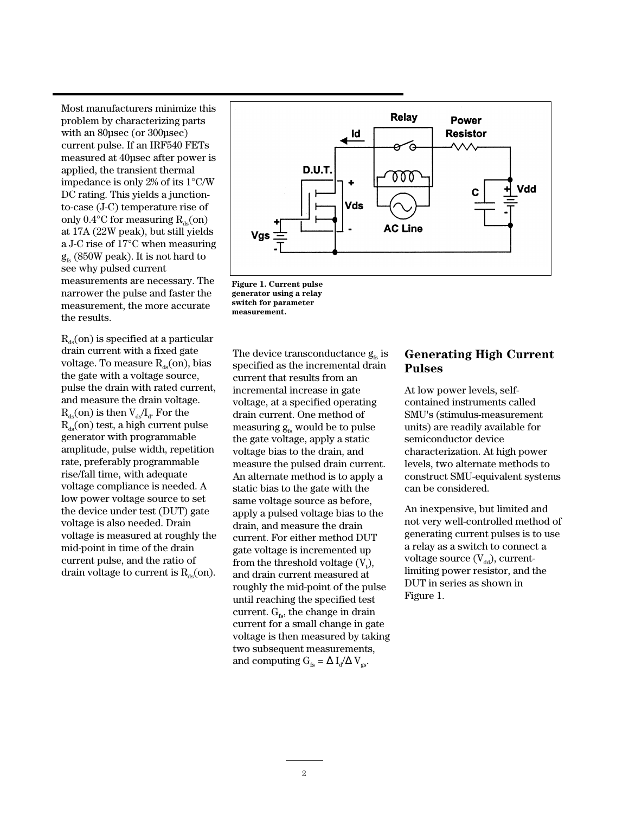Most manufacturers minimize this problem by characterizing parts with an 80µsec (or 300µsec) current pulse. If an IRF540 FETs measured at 40µsec after power is applied, the transient thermal impedance is only 2% of its 1°C/W DC rating. This yields a junctionto-case (J-C) temperature rise of only 0.4 $\rm ^{\circ}C$  for measuring  $\rm R_{ds}(on)$ at 17A (22W peak), but still yields a J-C rise of 17°C when measuring  $g_{fs}$  (850W peak). It is not hard to see why pulsed current measurements are necessary. The narrower the pulse and faster the measurement, the more accurate the results.

 $R_{\text{de}}(\text{on})$  is specified at a particular drain current with a fixed gate voltage. To measure  $R_{ds}$ (on), bias the gate with a voltage source, pulse the drain with rated current, and measure the drain voltage.  $R_{ds}$ (on) is then  $V_{ds}/I_{d}$ . For the  $R_{de}(on)$  test, a high current pulse generator with programmable amplitude, pulse width, repetition rate, preferably programmable rise/fall time, with adequate voltage compliance is needed. A low power voltage source to set the device under test (DUT) gate voltage is also needed. Drain voltage is measured at roughly the mid-point in time of the drain current pulse, and the ratio of drain voltage to current is  $R_{ds}(on)$ .





The device transconductance  $g_{fs}$  is specified as the incremental drain current that results from an incremental increase in gate voltage, at a specified operating drain current. One method of measuring  $g_{fs}$  would be to pulse the gate voltage, apply a static voltage bias to the drain, and measure the pulsed drain current. An alternate method is to apply a static bias to the gate with the same voltage source as before, apply a pulsed voltage bias to the drain, and measure the drain current. For either method DUT gate voltage is incremented up from the threshold voltage  $(V_t)$ , and drain current measured at roughly the mid-point of the pulse until reaching the specified test current.  $G<sub>fs</sub>$ , the change in drain current for a small change in gate voltage is then measured by taking two subsequent measurements, and computing  $G_{fs} = \Delta I_d / \Delta V_{gs}$ .

## **Generating High Current Pulses**

At low power levels, selfcontained instruments called SMU's (stimulus-measurement units) are readily available for semiconductor device characterization. At high power levels, two alternate methods to construct SMU-equivalent systems can be considered.

An inexpensive, but limited and not very well-controlled method of generating current pulses is to use a relay as a switch to connect a voltage source  $(V_{dd})$ , currentlimiting power resistor, and the DUT in series as shown in Figure 1.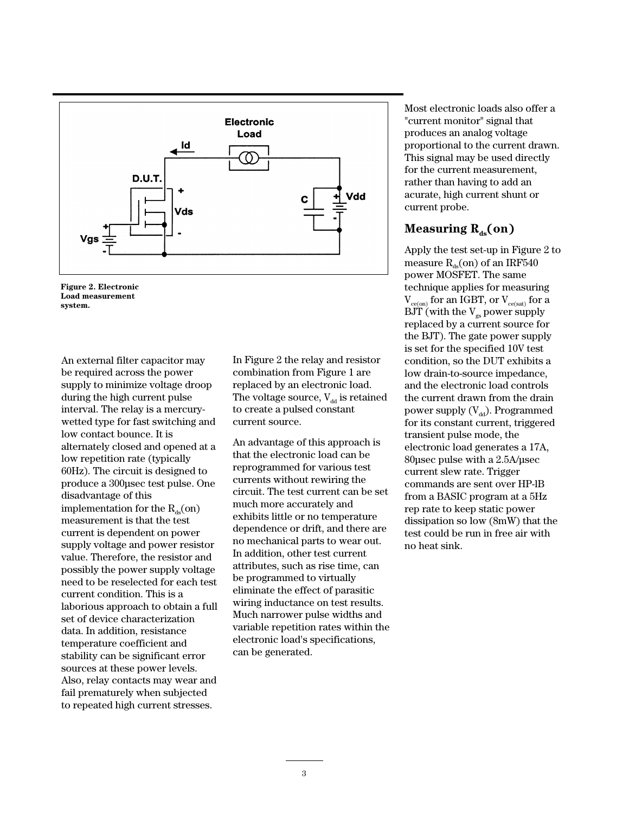



An external filter capacitor may be required across the power supply to minimize voltage droop during the high current pulse interval. The relay is a mercurywetted type for fast switching and low contact bounce. It is alternately closed and opened at a low repetition rate (typically 60Hz). The circuit is designed to produce a 300µsec test pulse. One disadvantage of this implementation for the  $R_{ds}$ (on) measurement is that the test current is dependent on power supply voltage and power resistor value. Therefore, the resistor and possibly the power supply voltage need to be reselected for each test current condition. This is a laborious approach to obtain a full set of device characterization data. In addition, resistance temperature coefficient and stability can be significant error sources at these power levels. Also, relay contacts may wear and fail prematurely when subjected to repeated high current stresses.

In Figure 2 the relay and resistor combination from Figure 1 are replaced by an electronic load. The voltage source,  $V_{dd}$  is retained to create a pulsed constant current source.

An advantage of this approach is that the electronic load can be reprogrammed for various test currents without rewiring the circuit. The test current can be set much more accurately and exhibits little or no temperature dependence or drift, and there are no mechanical parts to wear out. In addition, other test current attributes, such as rise time, can be programmed to virtually eliminate the effect of parasitic wiring inductance on test results. Much narrower pulse widths and variable repetition rates within the electronic load's specifications, can be generated.

Most electronic loads also offer a "current monitor" signal that produces an analog voltage proportional to the current drawn. This signal may be used directly for the current measurement, rather than having to add an acurate, high current shunt or current probe.

## **Measuring**  $R_{ds}$ **(on)**

Apply the test set-up in Figure 2 to measure  $R_{ds}$ (on) of an IRF540 power MOSFET. The same technique applies for measuring  $V_{ce(on)}$  for an IGBT, or  $V_{ce(sat)}$  for a  $BJT$  (with the  $V_{gs}$  power supply replaced by a current source for the BJT). The gate power supply is set for the specified 10V test condition, so the DUT exhibits a low drain-to-source impedance, and the electronic load controls the current drawn from the drain power supply  $(V_{dd})$ . Programmed for its constant current, triggered transient pulse mode, the electronic load generates a 17A, 80µsec pulse with a 2.5A/µsec current slew rate. Trigger commands are sent over HP-lB from a BASIC program at a 5Hz rep rate to keep static power dissipation so low (8mW) that the test could be run in free air with no heat sink.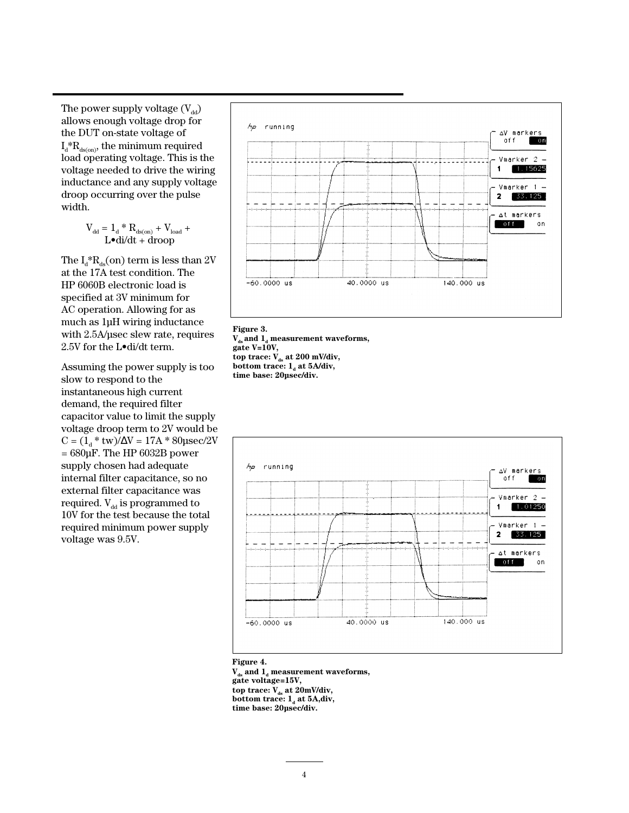The power supply voltage  $(V_{dd})$ allows enough voltage drop for the DUT on-state voltage of  $I_d^*R_{ds(m)}$ , the minimum required load operating voltage. This is the voltage needed to drive the wiring inductance and any supply voltage droop occurring over the pulse width.

$$
V_{dd} = \mathbf{1}_d * R_{ds (on)} + V_{load} + \\ \mathbf{L} \bullet \mathbf{di/dt} + \mathbf{droop}
$$

The  $I_d^*R_d$  (on) term is less than 2V at the 17A test condition. The HP 6060B electronic load is specified at 3V minimum for AC operation. Allowing for as much as 1µH wiring inductance with 2.5A/µsec slew rate, requires 2.5V for the L•di/dt term.

Assuming the power supply is too slow to respond to the instantaneous high current demand, the required filter capacitor value to limit the supply voltage droop term to 2V would be  $C = (1_d * tw)/\Delta V = 17A * 80\mu sec/2V$  $= 680 \mu F$ . The HP  $6032B$  power supply chosen had adequate internal filter capacitance, so no external filter capacitance was required.  $V_{dd}$  is programmed to 10V for the test because the total required minimum power supply voltage was 9.5V.



#### **Figure 3.**

 $V_{ds}$  and  $1_d$  measurement waveforms, **gate V=10V,**  top trace:  $V_{ds}$  at 200 mV/div, **bottom trace:**  $1_a$  at 5A/div, **time base: 20µsec/div.**



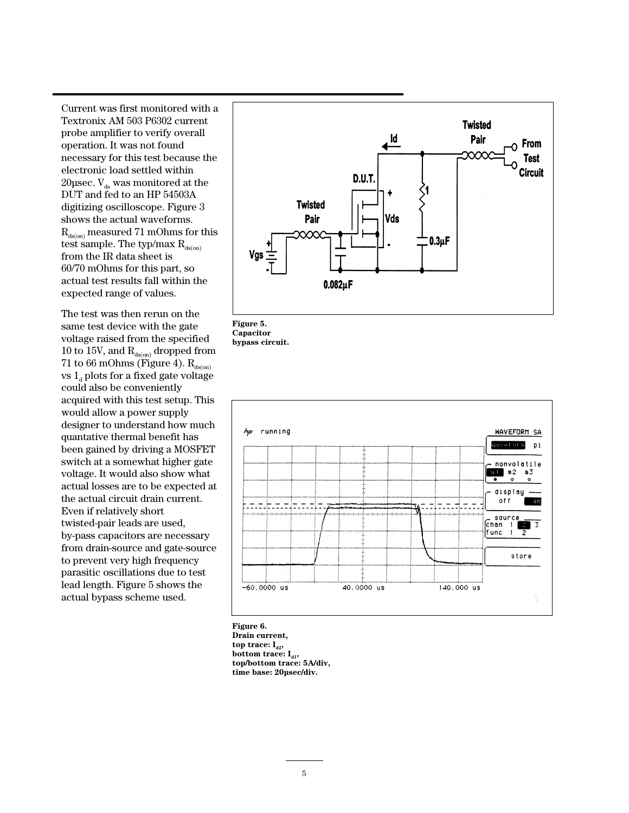Current was first monitored with a Textronix AM 503 P6302 current probe amplifier to verify overall operation. It was not found necessary for this test because the electronic load settled within 20 $\mu$ sec.  $V_{ds}$  was monitored at the DUT and fed to an HP 54503A digitizing oscilloscope. Figure 3 shows the actual waveforms.  $R_{\text{dson}}$  measured 71 mOhms for this test sample. The typ/max  $R_{\text{ds}(on)}$ from the IR data sheet is 60/70 mOhms for this part, so actual test results fall within the expected range of values.

The test was then rerun on the same test device with the gate voltage raised from the specified  $10$  to  $15\mathrm{V},$  and  $\mathrm{R}_{\mathrm{ds(on)}}$  dropped from 71 to 66 mOhms (Figure 4).  $R_{ds(0n)}$ vs  $1_d$  plots for a fixed gate voltage could also be conveniently acquired with this test setup. This would allow a power supply designer to understand how much quantative thermal benefit has been gained by driving a MOSFET switch at a somewhat higher gate voltage. It would also show what actual losses are to be expected at the actual circuit drain current. Even if relatively short twisted-pair leads are used, by-pass capacitors are necessary from drain-source and gate-source to prevent very high frequency parasitic oscillations due to test lead length. Figure 5 shows the actual bypass scheme used.







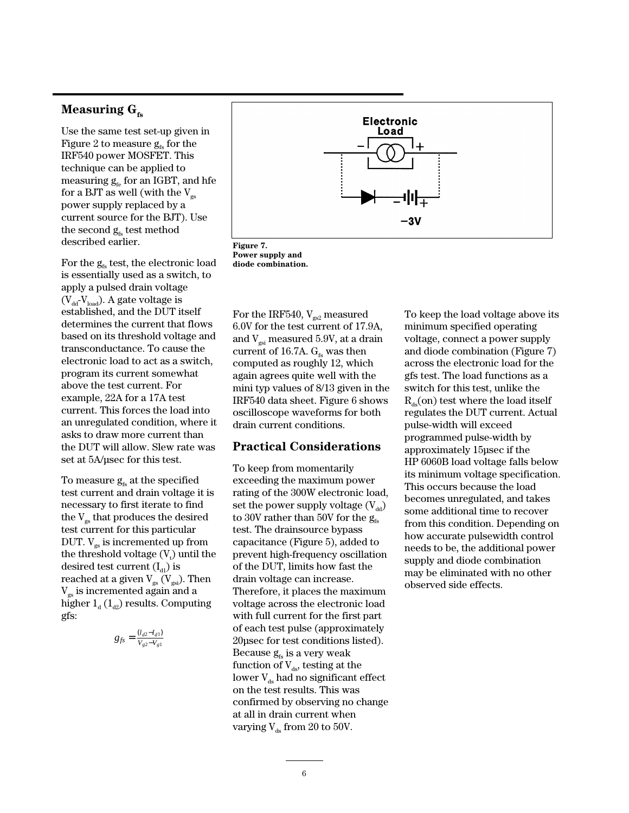## **Measuring G**<sub>fs</sub>

Use the same test set-up given in Figure 2 to measure  $g<sub>es</sub>$  for the IRF540 power MOSFET. This technique can be applied to measuring  $g_{f_e}$  for an IGBT, and hfe for a BJT as well (with the  $V_{gs}$ power supply replaced by a current source for the BJT). Use the second  $g_{fs}$  test method described earlier.

For the  $g<sub>fs</sub>$  test, the electronic load is essentially used as a switch, to apply a pulsed drain voltage  $(V_{dd}V_{load})$ . A gate voltage is established, and the DUT itself determines the current that flows based on its threshold voltage and transconductance. To cause the electronic load to act as a switch, program its current somewhat above the test current. For example, 22A for a 17A test current. This forces the load into an unregulated condition, where it asks to draw more current than the DUT will allow. Slew rate was set at 5A/µsec for this test.

To measure  $g<sub>fs</sub>$  at the specified test current and drain voltage it is necessary to first iterate to find the  $V_{gs}$  that produces the desired test current for this particular DUT.  $V_{gs}$  is incremented up from the threshold voltage  $(V_t)$  until the desired test current  $(I_{d1})$  is reached at a given  $\mathrm{V}_{\mathrm{gs}}\,(\mathrm{V}_{\mathrm{gsi}}).$  Then Vgs is incremented again and a higher  $1_d$  ( $1_{d2}$ ) results. Computing gfs:

$$
g_{fs} = \frac{(l_{d2} - l_{d1})}{V_{g2} - V_{g1}}
$$



**Figure 7. Power supply and diode combination.**

For the IRF540,  $V_{gs2}$  measured 6.0V for the test current of 17.9A, and  $V_{\text{gsi}}$  measured 5.9V, at a drain current of 16.7A.  $G_{fs}$  was then computed as roughly 12, which again agrees quite well with the mini typ values of 8/13 given in the IRF540 data sheet. Figure 6 shows oscilloscope waveforms for both drain current conditions.

## **Practical Considerations**

To keep from momentarily exceeding the maximum power rating of the 300W electronic load, set the power supply voltage  $(V_{dd})$ to 30V rather than 50V for the  $g<sub>fs</sub>$ test. The drainsource bypass capacitance (Figure 5), added to prevent high-frequency oscillation of the DUT, limits how fast the drain voltage can increase. Therefore, it places the maximum voltage across the electronic load with full current for the first part of each test pulse (approximately 20µsec for test conditions listed). Because  $g<sub>fs</sub>$  is a very weak function of  $V_{ds}$ , testing at the lower  $V_{ds}$  had no significant effect on the test results. This was confirmed by observing no change at all in drain current when varying  $V_{ds}$  from 20 to 50V.

To keep the load voltage above its minimum specified operating voltage, connect a power supply and diode combination (Figure 7) across the electronic load for the gfs test. The load functions as a switch for this test, unlike the  $R_{de}$ (on) test where the load itself regulates the DUT current. Actual pulse-width will exceed programmed pulse-width by approximately 15µsec if the HP 6060B load voltage falls below its minimum voltage specification. This occurs because the load becomes unregulated, and takes some additional time to recover from this condition. Depending on how accurate pulsewidth control needs to be, the additional power supply and diode combination may be eliminated with no other observed side effects.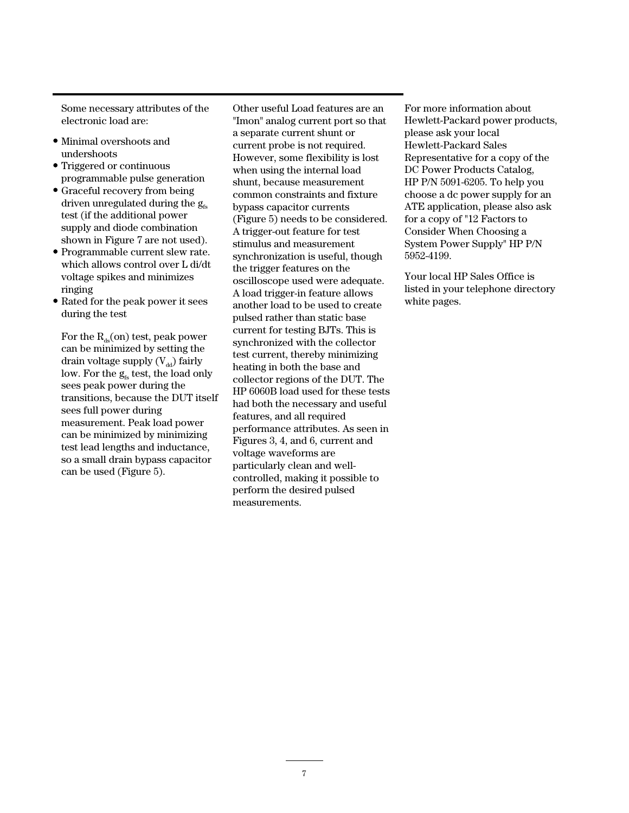Some necessary attributes of the electronic load are:

- Minimal overshoots and undershoots
- Triggered or continuous programmable pulse generation
- Graceful recovery from being driven unregulated during the  $g_{fs}$ test (if the additional power supply and diode combination shown in Figure 7 are not used).
- Programmable current slew rate. which allows control over L di/dt voltage spikes and minimizes ringing
- Rated for the peak power it sees during the test

For the  $R_{ds}$ (on) test, peak power can be minimized by setting the drain voltage supply  $(V_{dd})$  fairly low. For the  $g<sub>fs</sub>$  test, the load only sees peak power during the transitions, because the DUT itself sees full power during measurement. Peak load power can be minimized by minimizing test lead lengths and inductance, so a small drain bypass capacitor can be used (Figure 5).

Other useful Load features are an "Imon" analog current port so that a separate current shunt or current probe is not required. However, some flexibility is lost when using the internal load shunt, because measurement common constraints and fixture bypass capacitor currents (Figure 5) needs to be considered. A trigger-out feature for test stimulus and measurement synchronization is useful, though the trigger features on the oscilloscope used were adequate. A load trigger-in feature allows another load to be used to create pulsed rather than static base current for testing BJTs. This is synchronized with the collector test current, thereby minimizing heating in both the base and collector regions of the DUT. The HP 6060B load used for these tests had both the necessary and useful features, and all required performance attributes. As seen in Figures 3, 4, and 6, current and voltage waveforms are particularly clean and wellcontrolled, making it possible to perform the desired pulsed measurements.

For more information about Hewlett-Packard power products, please ask your local Hewlett-Packard Sales Representative for a copy of the DC Power Products Catalog, HP P/N 5091-6205. To help you choose a dc power supply for an ATE application, please also ask for a copy of "12 Factors to Consider When Choosing a System Power Supply" HP P/N 5952-4199.

Your local HP Sales Office is listed in your telephone directory white pages.